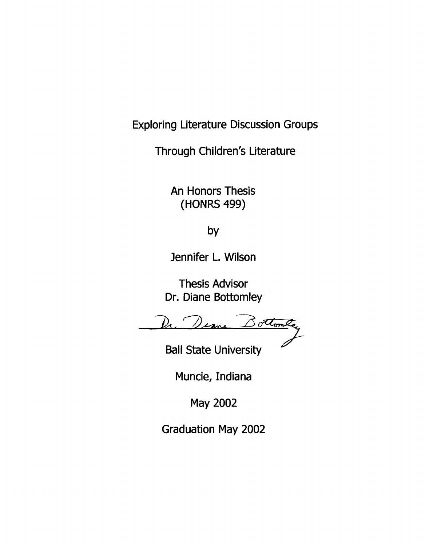Exploring Literature Discussion Groups

Through Children's Literature

An Honors Thesis (HONRS 499)

by

Jennifer L. Wilson

Thesis Advisor Dr. Diane Bottomley

Deane Bottomter

Ball State University

Muncie, Indiana

May 2002

Graduation May 2002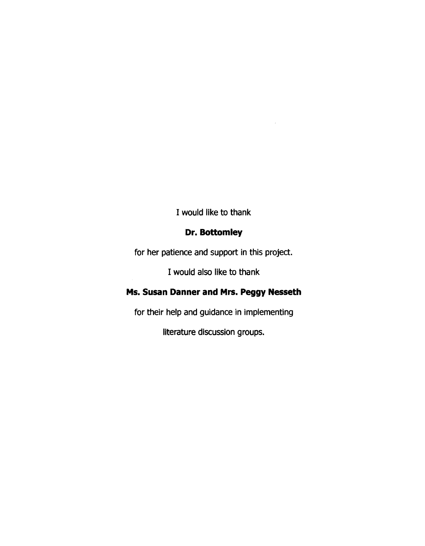I would like to thank

# **Dr. Bottomley**

for her patience and support in this project.

I would also like to thank

# **Ms. Susan Danner and Mrs. Peggy Nesseth**

for their help and guidance in implementing

literature discussion groups.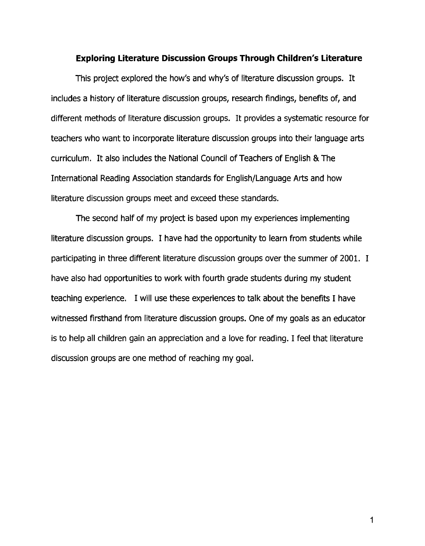## **Exploring Literature Discussion Groups Through Children's Literature**

This project explored the how's and why's of literature discussion groups. It includes a history of literature discussion groups, research findings, benefits of, and different methods of literature discussion groups. It provides a systematic resource for teachers who want to incorporate literature discussion groups into their language arts curriculum. It also includes the National Council of Teachers of English & The International Reading Association standards for English/Language Arts and how literature discussion groups meet and exceed these standards.

The second half of my project is based upon my experiences implementing literature discussion groups. I have had the opportunity to learn from students while participating in three different literature discussion groups over the summer of 2001. I have also had opportunities to work with fourth grade students during my student teaching experience. I will use these experiences to talk about the benefits I have witnessed firsthand from literature discussion groups. One of my goals as an educator is to help all children gain an appreciation and a love for reading. I feel that literature discussion groups are one method of reaching my goal.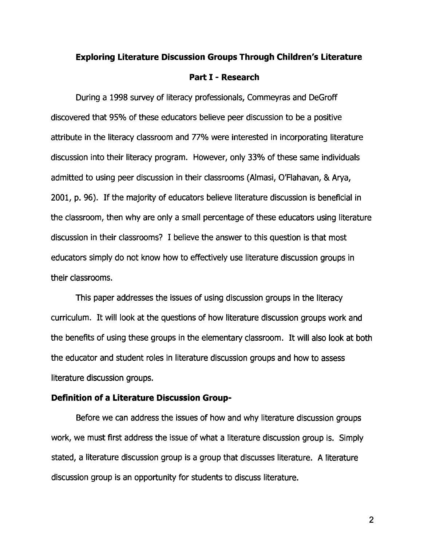## **Exploring Literature Discussion Groups Through Children's Literature**

#### **Part I - Research**

During a 1998 survey of literacy professionals, Commeyras and DeGroff discovered that 95% of these educators believe peer discussion to be a positive attribute in the literacy classroom and 77% were interested in incorporating literature discussion into their literacy program. However, only 33% of these same individuals admitted to using peer discussion in their classrooms (Almasi, Q'Flahavan, & Arya, 2001, p. 96). If the majority of educators believe literature discussion is beneficial in the classroom, then why are only a small percentage of these educators using literature discussion in their classrooms? I believe the answer to this question is that most educators simply do not know how to effectively use literature discussion groups in their classrooms.

This paper addresses the issues of using discussion groups in the literacy curriculum. It will look at the questions of how literature discussion groups work and the benefits of using these groups in the elementary classroom. It will also look at both the educator and student roles in literature discussion groups and how to assess literature discussion groups.

## **Definition of a Literature Discussion Group-**

Before we can address the issues of how and why literature discussion groups work, we must first address the issue of what a literature discussion group is. Simply stated, a literature discussion group is a group that discusses literature. A literature discussion group is an opportunity for students to discuss literature.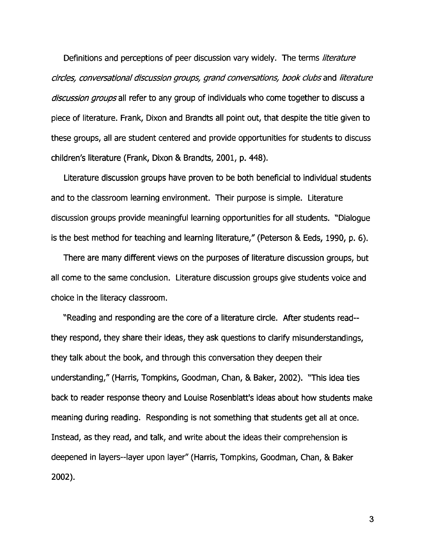Definitions and perceptions of peer discussion vary widely. The terms literature circles, conversational discussion groups, grand conversations, book clubs and literature discussion groups all refer to any group of individuals who come together to discuss a piece of literature. Frank, Dixon and Brandts all point out, that despite the title given to these groups, all are student centered and provide opportunities for students to discuss children's literature (Frank, Dixon & Brandts, 2001, p. 448).

Literature discussion groups have proven to be both beneficial to individual students and to the classroom learning environment. Their purpose is simple. Literature discussion groups provide meaningful learning opportunities for all students. "Dialogue is the best method for teaching and learning literature," (Peterson & Eeds, 1990, p. 6).

There are many different views on the purposes of literature discussion groups, but all come to the same conclusion. Literature discussion groups give students voice and choice in the literacy classroom.

"Reading and responding are the core of a literature circle. After students read- they respond, they share their ideas, they ask questions to clarify misunderstandings, they talk about the book, and through this conversation they deepen their understanding," (Harris, Tompkins, Goodman, Chan, & Baker, 2002). "This idea ties back to reader response theory and Louise Rosenblatt's ideas about how students make meaning during reading. Responding is not something that students get all at once. Instead, as they read, and talk, and write about the ideas their comprehension is deepened in layers--Iayer upon layer" (HarriS, Tompkins, Goodman, Chan, & Baker 2002).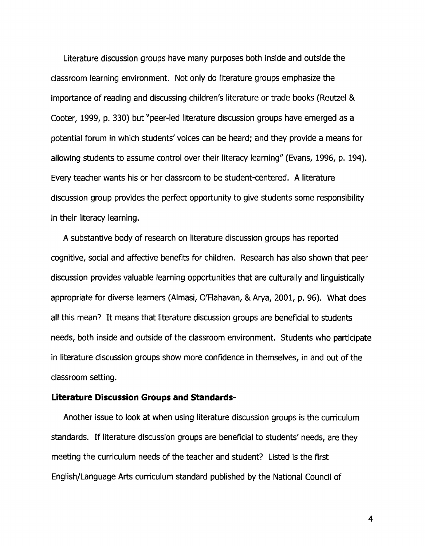Literature discussion groups have many purposes both inside and outside the classroom learning environment. Not only do literature groups emphasize the importance of reading and discussing children's literature or trade books (Reutzel & Cooter, 1999, p. 330) but "peer-led literature discussion groups have emerged as a potential forum in which students'voices can be heard; and they provide a means for allowing students to assume control over their literacy learning" (Evans, 1996, p. 194). Every teacher wants his or her classroom to be student-centered. A literature discussion group provides the perfect opportunity to give students some responsibility in their literacy learning.

A substantive body of research on literature discussion groups has reported cognitive, social and affective benefits for children. Research has also shown that peer discussion provides valuable learning opportunities that are culturally and linguistically appropriate for diverse learners (Almasi, Q'Flahavan, & Arya, 2001, p. 96). What does all this mean? It means that literature discussion groups are beneficial to students needs, both inside and outside of the classroom environment. Students who participate in literature discussion groups show more confidence in themselves, in and out of the classroom setting.

## **Literature Discussion Groups and Standards-**

Another issue to look at when using literature discussion groups is the curriculum standards. If literature discussion groups are beneficial to students' needs, are they meeting the curriculum needs of the teacher and student? Listed is the first English/Language Arts curriculum standard published by the National Council of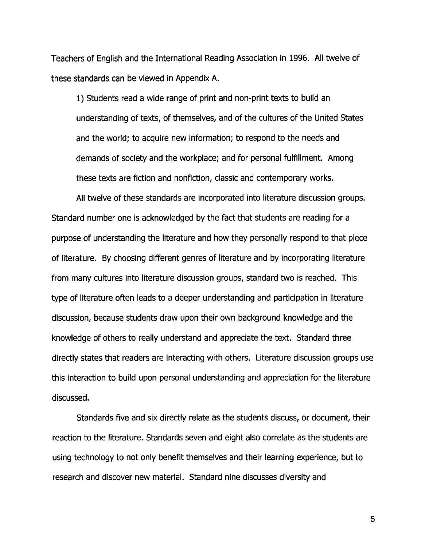Teachers of English and the International Reading Association in 1996. All twelve of these standards can be viewed in Appendix A.

1) Students read a wide range of print and non-print texts to build an understanding of texts, of themselves, and of the cultures of the United States and the world; to acquire new information; to respond to the needs and demands of society and the workplace; and for personal fulfillment. Among these texts are fiction and nonfiction, classic and contemporary works.

All twelve of these standards are incorporated into literature discussion groups. Standard number one is acknowledged by the fact that students are reading for a purpose of understanding the literature and how they personally respond to that piece of literature. By choosing different genres of literature and by incorporating literature from many cultures into literature discussion groups, standard two is reached. This type of literature often leads to a deeper understanding and participation in literature discussion, because students draw upon their own background knowledge and the knowledge of others to really understand and appreciate the text. Standard three directly states that readers are interacting with others. Literature discussion groups use this interaction to build upon personal understanding and appreciation for the literature discussed.

Standards five and six directly relate as the students discuss, or document, their reaction to the literature. Standards seven and eight also correlate as the students are using technology to not only benefit themselves and their learning experience, but to research and discover new material. Standard nine discusses diversity and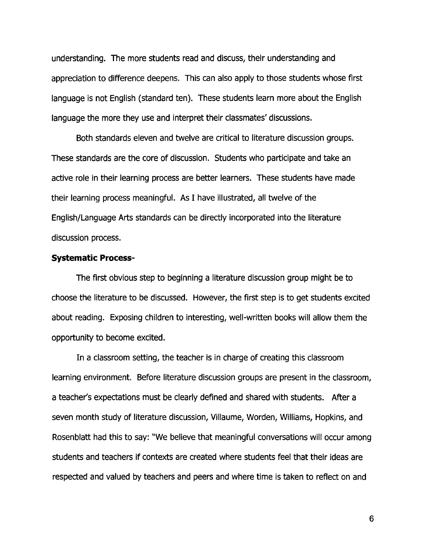understanding. The more students read and discuss, their understanding and appreciation to difference deepens. This can also apply to those students whose first language is not English (standard ten). These students learn more about the English language the more they use and interpret their classmates' discussions.

Both standards eleven and twelve are critical to literature discussion groups. These standards are the core of discussion. Students who participate and take an active role in their learning process are better learners. These students have made their learning process meaningful. As I have illustrated, all twelve of the English/Language Arts standards can be directly incorporated into the literature discussion process.

## **Systematic Process-**

The first obvious step to beginning a literature discussion group might be to choose the literature to be discussed. However, the first step is to get students excited about reading. Exposing children to interesting, well-written books will allow them the opportunity to become excited.

In a classroom setting, the teacher is in charge of creating this classroom learning environment. Before literature discussion groups are present in the classroom, a teacher's expectations must be clearly defined and shared with students. After a seven month study of literature discussion, Villaume, Worden, Williams, Hopkins, and Rosenblatt had this to say: "We believe that meaningful conversations will occur among students and teachers if contexts are created where students feel that their ideas are respected and valued by teachers and peers and where time is taken to reflect on and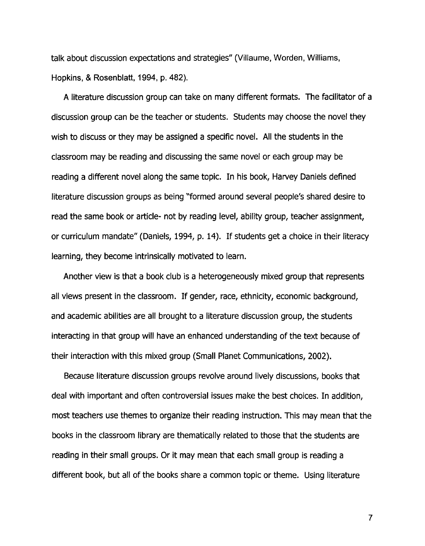talk about discussion expectations and strategies" (Villaume, Worden, Williams, Hopkins, & Rosenblatt, 1994, p. 482).

A literature discussion group can take on many different formats. The facilitator of a discussion group can be the teacher or students. Students may choose the novel they wish to discuss or they may be assigned a specific novel. All the students in the classroom may be reading and discussing the same novel or each group may be reading a different novel along the same topic. In his book, Harvey Daniels defined literature discussion groups as being "formed around several people's shared desire to read the same book or article- not by reading level, ability group, teacher assignment, or curriculum mandate" (Daniels, 1994, p. 14). If students get a choice in their literacy learning, they become intrinsically motivated to learn.

Another view is that a book club is a heterogeneously mixed group that represents all views present in the classroom. If gender, race, ethnicity, economic background, and academic abilities are all brought to a literature discussion group, the students interacting in that group will have an enhanced understanding of the text because of their interaction with this mixed group (Small Planet Communications, 2002).

Because literature discussion groups revolve around lively discussions, books that deal with important and often controversial issues make the best choices. In addition, most teachers use themes to organize their reading instruction. This may mean that the books in the classroom library are thematically related to those that the students are reading in their small groups. Or it may mean that each small group is reading a different book, but all of the books share a common topic or theme. Using literature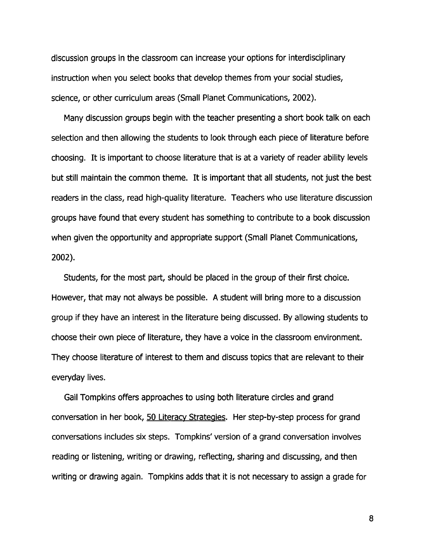discussion groups in the classroom can increase your options for interdisciplinary instruction when you select books that develop themes from your social studies, science, or other curriculum areas (Small Planet Communications, 2002).

Many discussion groups begin with the teacher presenting a short book talk on each selection and then allowing the students to look through each piece of literature before choosing. It is important to choose literature that is at a variety of reader ability levels but still maintain the common theme. It is important that all students, not just the best readers in the class, read high-quality literature. Teachers who use literature discussion groups have found that every student has something to contribute to a book discussion when given the opportunity and appropriate support (Small Planet Communications, 2002).

Students, for the most part, should be placed in the group of their first choice. However, that may not always be possible. A student will bring more to a discussion group if they have an interest in the literature being discussed. By allowing students to choose their own piece of literature, they have a voice in the classroom environment. They choose literature of interest to them and discuss topics that are relevant to their everyday lives.

Gail Tompkins offers approaches to using both literature circles and grand conversation in her book, 50 Literacy Strategies. Her step-by-step process for grand conversations includes six steps. Tompkins' version of a grand conversation involves reading or listening, writing or drawing, reflecting, sharing and discussing, and then writing or drawing again. Tompkins adds that it is not necessary to assign a grade for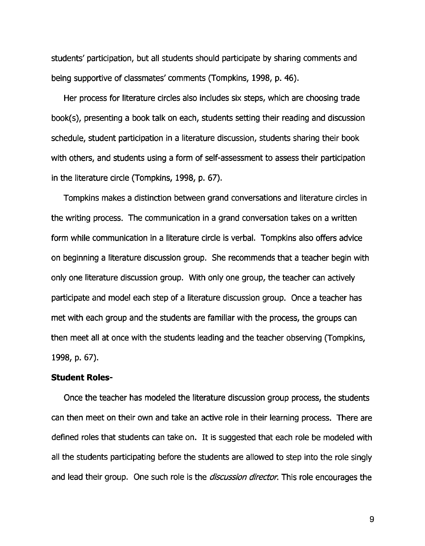students' participation, but all students should participate by sharing comments and being supportive of classmates' comments (Tompkins, 1998, p. 46).

Her process for literature circles also includes six steps, which are choosing trade book(s), presenting a book talk on each, students setting their reading and discussion schedule, student participation in a literature discussion, students sharing their book with others, and students using a form of self-assessment to assess their participation in the literature circle (Tompkins, 1998, p. 67).

Tompkins makes a distinction between grand conversations and literature circles in the writing process. The communication in a grand conversation takes on a written form while communication in a literature circle is verbal. Tompkins also offers advice on beginning a literature discussion group. She recommends that a teacher begin with only one literature discussion group. With only one group, the teacher can actively participate and model each step of a literature discussion group. Once a teacher has met with each group and the students are familiar with the process, the groups can then meet all at once with the students leading and the teacher observing (Tompkins, 1998, p. 67).

## **Student Roles-**

Once the teacher has modeled the literature discussion group process, the students can then meet on their own and take an active role in their learning process. There are defined roles that students can take on. It is suggested that each role be modeled with all the students participating before the students are allowed to step into the role singly and lead their group. One such role is the *discussion director*. This role encourages the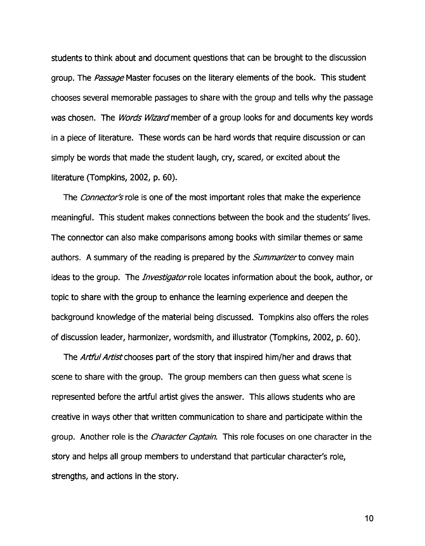students to think about and document questions that can be brought to the discussion group. The *Passage* Master focuses on the literary elements of the book. This student chooses several memorable passages to share with the group and tells why the passage was chosen. The *Words Wizard* member of a group looks for and documents key words in a piece of literature. These words can be hard words that require discussion or can simply be words that made the student laugh, cry, scared, or excited about the literature (Tompkins, 2002, p. 60).

The Connector's role is one of the most important roles that make the experience meaningful. This student makes connections between the book and the students' lives. The connector can also make comparisons among books with similar themes or same authors. A summary of the reading is prepared by the *Summarizer* to convey main ideas to the group. The *Investigator* role locates information about the book, author, or topic to share with the group to enhance the learning experience and deepen the background knowledge of the material being discussed. Tompkins also offers the roles of discussion leader, harmonizer, wordsmith, and illustrator (Tompkins, 2002, p. 60).

The Artful Artist chooses part of the story that inspired him/her and draws that scene to share with the group. The group members can then guess what scene is represented before the artful artist gives the answer. This allows students who are creative in ways other that written communication to share and participate within the group. Another role is the *Character Captain*. This role focuses on one character in the story and helps all group members to understand that particular character's role, strengths, and actions in the story.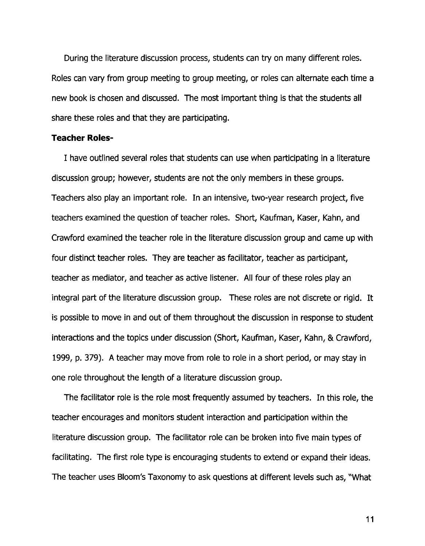During the literature discussion process, students can try on many different roles. Roles can vary from group meeting to group meeting, or roles can alternate each time a new book is chosen and discussed. The most important thing is that the students all share these roles and that they are participating.

## **Teacher Roles-**

I have outlined several roles that students can use when participating in a literature discussion group; however, students are not the only members in these groups. Teachers also play an important role. In an intensive, two-year research project, five teachers examined the question of teacher roles. Short, Kaufman, Kaser, Kahn, and Crawford examined the teacher role in the literature discussion group and came up with four distinct teacher roles. They are teacher as facilitator, teacher as participant, teacher as mediator, and teacher as active listener. All four of these roles play an integral part of the literature discussion group. These roles are not discrete or rigid. It is possible to move in and out of them throughout the discussion in response to student interactions and the topics under discussion (Short, Kaufman, Kaser, Kahn, & Crawford, 1999, p. 379). A teacher may move from role to role in a short period, or may stay in one role throughout the length of a literature discussion group.

The facilitator role is the role most frequently assumed by teachers. In this role, the teacher encourages and monitors student interaction and participation within the literature discussion group. The facilitator role can be broken into five main types of facilitating. The first role type is encouraging students to extend or expand their ideas. The teacher uses Bloom's Taxonomy to ask questions at different levels such as, "What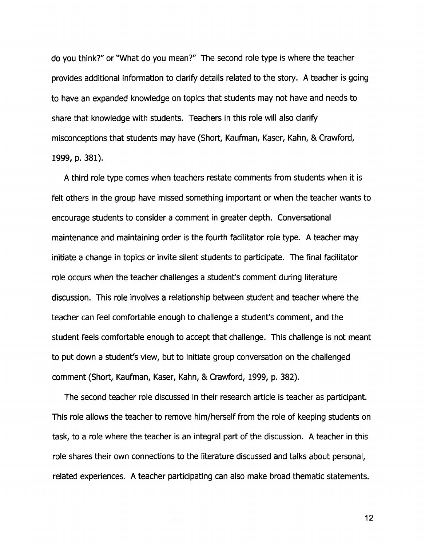do you think?" or "What do you mean?" The second role type is where the teacher provides additional information to clarify details related to the story. A teacher is going to have an expanded knowledge on topics that students may not have and needs to share that knowledge with students. Teachers in this role will also clarify misconceptions that students may have (Short, Kaufman, Kaser, Kahn, & Crawford, 1999, p. 381).

A third role type comes when teachers restate comments from students when it is felt others in the group have missed something important or when the teacher wants to encourage students to consider a comment in greater depth. Conversational maintenance and maintaining order is the fourth facilitator role type. A teacher may initiate a change in topics or invite silent students to participate. The final facilitator role occurs when the teacher challenges a student's comment during literature discussion. This role involves a relationship between student and teacher where the teacher can feel comfortable enough to challenge a student's comment, and the student feels comfortable enough to accept that challenge. This challenge is not meant to put down a student's view, but to initiate group conversation on the challenged comment (Short, Kaufman, Kaser, Kahn, & Crawford, 1999, p. 382).

The second teacher role discussed in their research article is teacher as participant. This role allows the teacher to remove him/herself from the role of keeping students on task, to a role where the teacher is an integral part of the discussion. A teacher in this role shares their own connections to the literature discussed and talks about personal, related experiences. A teacher participating can also make broad thematic statements.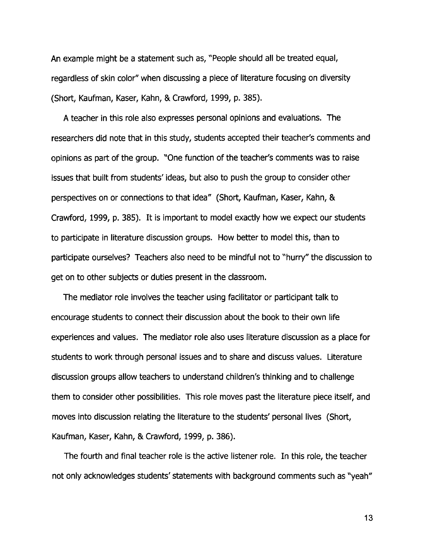An example might be a statement such as, "People should all be treated equal, regardless of skin color" when discussing a piece of literature focusing on diversity (Short, Kaufman, Kaser, Kahn, & Crawford, 1999, p. 385).

A teacher in this role also expresses personal opinions and evaluations. The researchers did note that in this study, students accepted their teacher's comments and opinions as part of the group. "One function of the teacher's comments was to raise issues that built from students' ideas, but also to push the group to consider other perspectives on or connections to that idea" (Short, Kaufman, Kaser, Kahn, & Crawford, 1999, p. 385). It is important to model exactly how we expect our students to participate in literature discussion groups. How better to model this, than to participate ourselves? Teachers also need to be mindful not to "hurry" the discussion to get on to other subjects or duties present in the classroom.

The mediator role involves the teacher using facilitator or participant talk to encourage students to connect their discussion about the book to their own life experiences and values. The mediator role also uses literature discussion as a place for students to work through personal issues and to share and discuss values. Literature discussion groups allow teachers to understand children's thinking and to challenge them to consider other possibilities. This role moves past the literature piece itself, and moves into discussion relating the literature to the students' personal lives (Short, Kaufman, Kaser, Kahn, & Crawford, 1999, p. 386).

The fourth and final teacher role is the active listener role. In this role, the teacher not only acknowledges students' statements with background comments such as "yeah"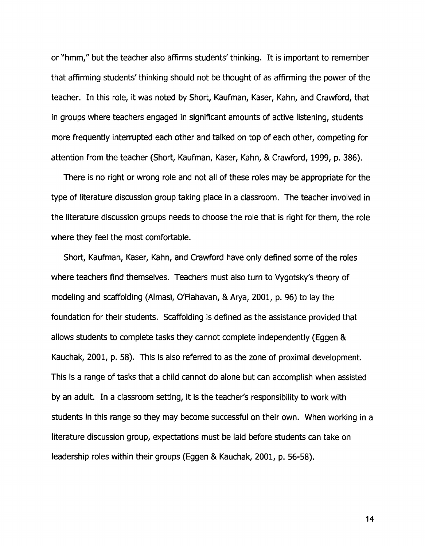or "hmm," but the teacher also affirms students' thinking. It is important to remember that affirming students' thinking should not be thought of as affirming the power of the teacher. In this role, it was noted by Short, Kaufman, Kaser, Kahn, and Crawford, that in groups where teachers engaged in significant amounts of active listening, students more frequently interrupted each other and talked on top of each other, competing for attention from the teacher (Short, Kaufman, Kaser, Kahn, & Crawford, 1999, p. 386).

There is no right or wrong role and not all of these roles may be appropriate for the type of literature discussion group taking place in a classroom. The teacher involved in the literature discussion groups needs to choose the role that is right for them, the role where they feel the most comfortable.

Short, Kaufman, Kaser, Kahn, and Crawford have only defined some of the roles where teachers find themselves. Teachers must also turn to Vygotsky's theory of modeling and scaffolding (Almasi, Q'Flahavan, & Arya, 2001, p. 96) to lay the foundation for their students. Scaffolding is defined as the assistance provided that allows students to complete tasks they cannot complete independently (Eggen & Kauchak, 2001, p. 58). This is also referred to as the zone of proximal development. This is a range of tasks that a child cannot do alone but can accomplish when assisted by an adult. In a classroom setting, it is the teacher's responsibility to work with students in this range so they may become successful on their own. When working in a literature discussion group, expectations must be laid before students can take on leadership roles within their groups (Eggen & Kauchak, 2001, p. 56-58).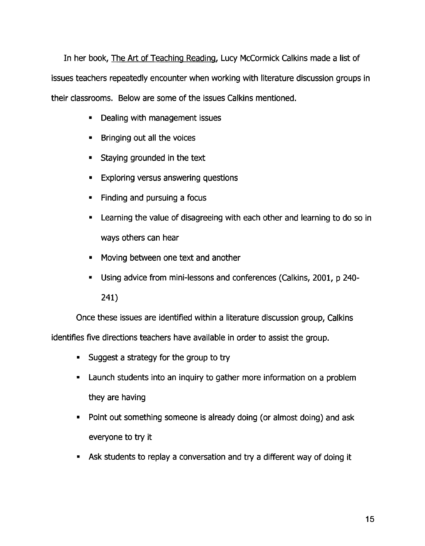In her book, The Art of Teaching Reading, Lucy McCormick Calkins made a list of issues teachers repeatedly encounter when working with literature discussion groups in their classrooms. Below are some of the issues Calkins mentioned.

- Dealing with management issues
- Bringing out all the voices
- Staying grounded in the text
- Exploring versus answering questions
- Finding and pursuing a focus
- Learning the value of disagreeing with each other and learning to do so in ways others can hear
- Moving between one text and another
- Using advice from mini-lessons and conferences (Calkins, 2001, p 240-

241)

Once these issues are identified within a literature discussion group, Calkins

identifies five directions teachers have available in order to assist the group.

- Suggest a strategy for the group to try
- Launch students into an inquiry to gather more information on a problem they are having
- Point out something someone is already doing (or almost doing) and ask everyone to try it
- Ask students to replay a conversation and try a different way of doing it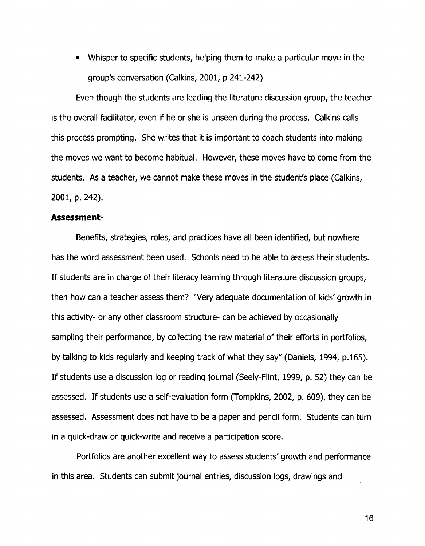• Whisper to specific students, helping them to make a particular move in the group's conversation (Calkins, 2001, p 241-242)

Even though the students are leading the literature discussion group, the teacher is the overall facilitator, even if he or she is unseen during the process. Calkins calls this process prompting. She writes that it is important to coach students into making the moves we want to become habitual. However, these moves have to come from the students. As a teacher, we cannot make these moves in the student's place (Calkins, 2001, p. 242).

## **Assessment-**

Benefits, strategies, roles, and practices have all been identified, but nowhere has the word assessment been used. Schools need to be able to assess their students. If students are in charge of their literacy learning through literature discussion groups, then how can a teacher assess them? "Very adequate documentation of kids' growth in this activity- or any other classroom structure- can be achieved by occasionally sampling their performance, by collecting the raw material of their efforts in portfolios, by talking to kids regularly and keeping track of what they say" (Daniels, 1994, p.165). If students use a discussion log or reading journal (Seely-Flint, 1999, p. 52) they can be assessed. If students use a self-evaluation form (Tompkins, 2002, p. 609), they can be assessed. Assessment does not have to be a paper and pencil form. Students can turn in a quick-draw or quick-write and receive a participation score.

Portfolios are another excellent way to assess students' growth and performance in this area. Students can submit journal entries, discussion logs, drawings and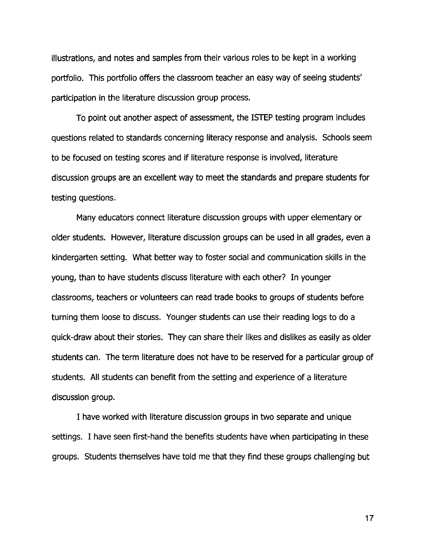illustrations, and notes and samples from their various roles to be kept in a working portfolio. This portfolio offers the classroom teacher an easy way of seeing students' participation in the literature discussion group process.

To point out another aspect of assessment, the ISTEP testing program includes questions related to standards concerning literacy response and analysis. Schools seem to be focused on testing scores and if literature response is involved, literature discussion groups are an excellent way to meet the standards and prepare students for testing questions.

Many educators connect literature discussion groups with upper elementary or older students. However, literature discussion groups can be used in all grades, even a kindergarten setting. What better way to foster social and communication skills in the young, than to have students discuss literature with each other? In younger classrooms, teachers or volunteers can read trade books to groups of students before turning them loose to discuss. Younger students can use their reading logs to do a quick-draw about their stories. They can share their likes and dislikes as easily as older students can. The term literature does not have to be reserved for a particular group of students. All students can benefit from the setting and experience of a literature discussion group.

I have worked with literature discussion groups in two separate and unique settings. I have seen first-hand the benefits students have when participating in these groups. Students themselves have told me that they find these groups challenging but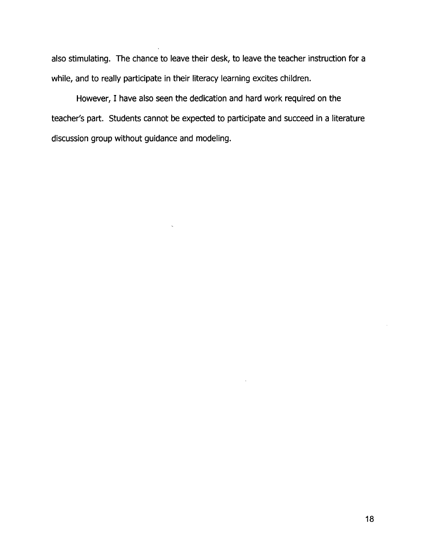also stimulating. The chance to leave their desk, to leave the teacher instruction for a while, and to really participate in their literacy learning excites children.

However, I have also seen the dedication and hard work required on the teacher's part. Students cannot be expected to participate and succeed in a literature discussion group without guidance and modeling.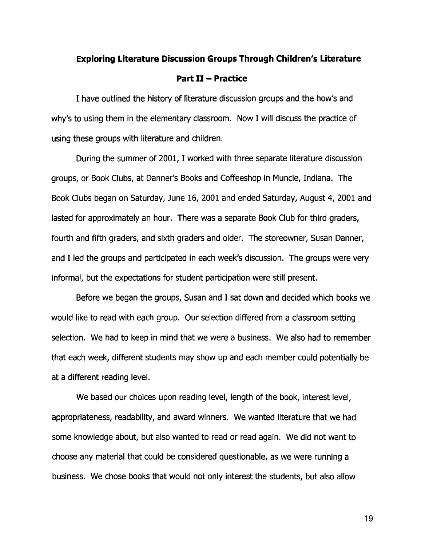# **Exploring Literature Discussion Groups Through Children's Literature**

## **Part II - Practice**

I have outlined the history of literature discussion groups and the how's and why's to using them in the elementary classroom. Now I will discuss the practice of using these groups with literature and children.

During the summer of 2001, I worked with three separate literature discussion groups, or Book Clubs, at Danner's Books and Coffeeshop in Muncie, Indiana. The Book Clubs began on Saturday, June 16, 2001 and ended Saturday, August 4, 2001 and lasted for approximately an hour. There was a separate Book Club for third graders, fourth and fifth graders, and sixth graders and older. The storeowner, Susan Danner, and I led the groups and participated in each week's discussion. The groups were very informal, but the expectations for student participation were still present.

Before we began the groups, Susan and I sat down and decided which books we would like to read with each group. Our selection differed from a classroom setting selection. We had to keep in mind that we were a business. We also had to remember that each week, different students may show up and each member could potentially be at a different reading level.

We based our choices upon reading level, length of the book, interest level, appropriateness, readability, and award winners. We wanted literature that we had some knowledge about, but also wanted to read or read again. We did not want to choose any material that could be considered questionable, as we were running a business. We chose books that would not only interest the students, but also allow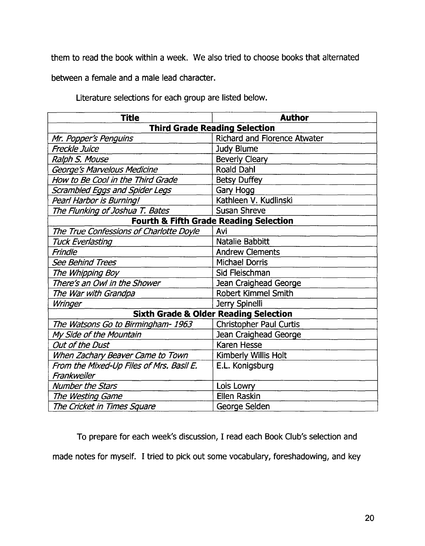them to read the book within a week. We also tried to choose books that alternated

between a female and a male lead character.

Literature selections for each group are listed below.

| <b>Title</b>                                      | <b>Author</b>                       |
|---------------------------------------------------|-------------------------------------|
| <b>Third Grade Reading Selection</b>              |                                     |
| Mr. Popper's Penguins                             | <b>Richard and Florence Atwater</b> |
| <b>Freckle Juice</b>                              | <b>Judy Blume</b>                   |
| Ralph S. Mouse                                    | <b>Beverly Cleary</b>               |
| George's Marvelous Medicine                       | <b>Roald Dahl</b>                   |
| How to Be Cool in the Third Grade                 | <b>Betsy Duffey</b>                 |
| Scrambled Eggs and Spider Legs                    | Gary Hogg                           |
| Pearl Harbor is Burning!                          | Kathleen V. Kudlinski               |
| The Flunking of Joshua T. Bates                   | <b>Susan Shreve</b>                 |
| <b>Fourth &amp; Fifth Grade Reading Selection</b> |                                     |
| The True Confessions of Charlotte Doyle           | Avi                                 |
| <b>Tuck Everlasting</b>                           | <b>Natalie Babbitt</b>              |
| Frindle                                           | <b>Andrew Clements</b>              |
| <b>See Behind Trees</b>                           | <b>Michael Dorris</b>               |
| The Whipping Boy                                  | Sid Fleischman                      |
| There's an Owl in the Shower                      | Jean Craighead George               |
| The War with Grandpa                              | <b>Robert Kimmel Smith</b>          |
| Wringer                                           | Jerry Spinelli                      |
| <b>Sixth Grade &amp; Older Reading Selection</b>  |                                     |
| The Watsons Go to Birmingham-1963                 | <b>Christopher Paul Curtis</b>      |
| My Side of the Mountain                           | Jean Craighead George               |
| Out of the Dust                                   | <b>Karen Hesse</b>                  |
| When Zachary Beaver Came to Town                  | Kimberly Willis Holt                |
| From the Mixed-Up Files of Mrs. Basil E.          | E.L. Konigsburg                     |
| Frankweiler                                       |                                     |
| <b>Number the Stars</b>                           | Lois Lowry                          |
| The Westing Game                                  | <b>Ellen Raskin</b>                 |
| The Cricket in Times Square                       | George Selden                       |

To prepare for each week's discussion, I read each Book Club's selection and made notes for myself. I tried to pick out some vocabulary, foreshadowing, and key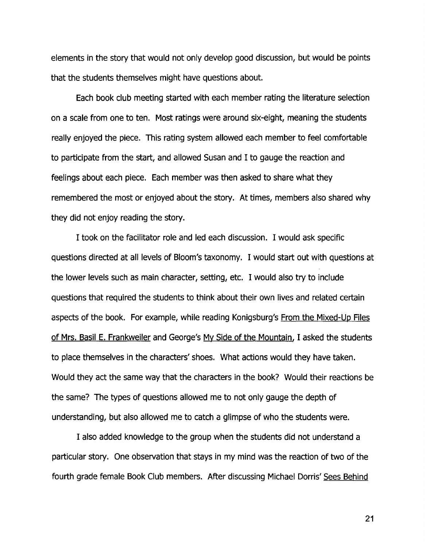elements in the story that would not only develop good discussion, but would be points that the students themselves might have questions about.

Each book club meeting started with each member rating the literature selection on a scale from one to ten. Most ratings were around six-eight, meaning the students really enjoyed the piece. This rating system allowed each member to feel comfortable to participate from the start, and allowed Susan and I to gauge the reaction and feelings about each piece. Each member was then asked to share what they remembered the most or enjoyed about the story. At times, members also shared why they did not enjoy reading the story.

I took on the facilitator role and led each discussion. I would ask specific questions directed at all levels of Bloom's taxonomy. I would start out with questions at the lower levels such as main character, setting, etc. I would also try to include questions that required the students to think about their own lives and related certain aspects of the book. For example, while reading Konigsburg's From the Mixed-Up Files of Mrs. Basil E. Frankweiler and George's My Side of the Mountain, I asked the students to place themselves in the characters' shoes. What actions would they have taken. Would they act the same way that the characters in the book? Would their reactions be the same? The types of questions allowed me to not only gauge the depth of understanding, but also allowed me to catch a glimpse of who the students were.

I also added knowledge to the group when the students did not understand a particular story. One observation that stays in my mind was the reaction of two of the fourth grade female Book Club members. After discussing Michael Dorris' Sees Behind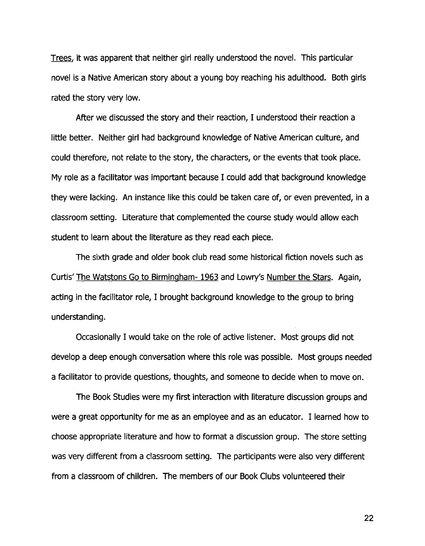Trees, it was apparent that neither girl really understood the novel. This particular novel is a Native American story about a young boy reaching his adulthood. Both girls rated the story very low.

After we discussed the story and their reaction, I understood their reaction a little better. Neither girl had background knowledge of Native American culture, and could therefore, not relate to the story, the characters, or the events that took place. My role as a facilitator was important because I could add that background knowledge they were lacking. An instance like this could be taken care of, or even prevented, in a classroom setting. Literature that complemented the course study would allow each student to learn about the literature as they read each piece.

The sixth grade and older book club read some historical fiction novels such as Curtis' The Watstons Go to Birmingham- 1963 and Lowry's Number the Stars. Again, acting in the facilitator role, I brought background knowledge to the group to bring understanding.

Occasionally I would take on the role of active listener. Most groups did not develop a deep enough conversation where this role was possible. Most groups needed a facilitator to provide questions, thoughts, and someone to decide when to move on.

The Book Studies were my first interaction with literature discussion groups and were a great opportunity for me as an employee and as an educator. I learned how to choose appropriate literature and how to format a discussion group. The store setting was very different from a classroom setting. The participants were also very different from a classroom of children. The members of our Book Clubs volunteered their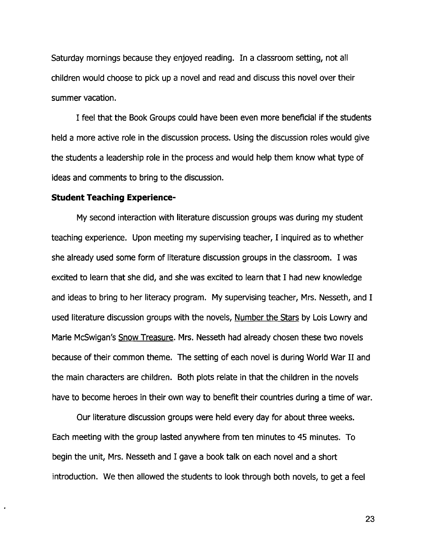Saturday mornings because they enjoyed reading. In a classroom setting, not all children would choose to pick up a novel and read and discuss this novel over their summer vacation.

I feel that the Book Groups could have been even more beneficial if the students held a more active role in the discussion process. Using the discussion roles would give the students a leadership role in the process and would help them know what type of ideas and comments to bring to the discussion.

## **Student Teaching Experience-**

 $\cdot$ 

My second interaction with literature discussion groups was during my student teaching experience. Upon meeting my supervising teacher, I inquired as to whether she already used some form of literature discussion groups in the classroom. I was excited to learn that she did, and she was excited to learn that I had new knowledge and ideas to bring to her literacy program. My supervising teacher, Mrs. Nesseth, and I used literature discussion groups with the novels, Number the Stars by Lois Lowry and Marie McSwigan's Snow Treasure. Mrs. Nesseth had already chosen these two novels because of their common theme. The setting of each novel is during World War II and the main characters are children. Both plots relate in that the children in the novels have to become heroes in their own way to benefit their countries during a time of war.

Our literature discussion groups were held every day for about three weeks. Each meeting with the group lasted anywhere from ten minutes to 45 minutes. To begin the unit, Mrs. Nesseth and I gave a book talk on each novel and a short introduction. We then allowed the students to look through both novels, to get a feel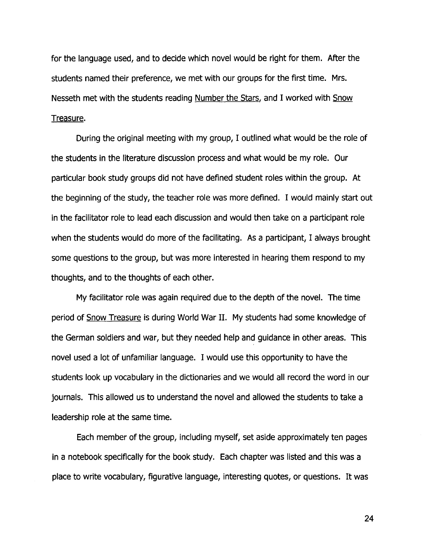for the language used, and to decide which novel would be right for them. After the students named their preference, we met with our groups for the first time. Mrs. Nesseth met with the students reading Number the Stars, and I worked with Snow Treasure.

During the original meeting with my group, I outlined what would be the role of the students in the literature discussion process and what would be my role. Our particular book study groups did not have defined student roles within the group. At the beginning of the study, the teacher role was more defined. I would mainly start out in the facilitator role to lead each discussion and would then take on a participant role when the students would do more of the facilitating. As a participant, I always brought some questions to the group, but was more interested in hearing them respond to my thoughts, and to the thoughts of each other.

My facilitator role was again required due to the depth of the novel. The time period of Snow Treasure is during World War II. My students had some knowledge of the German soldiers and war, but they needed help and guidance in other areas. This novel used a lot of unfamiliar language. I would use this opportunity to have the students look up vocabulary in the dictionaries and we would all record the word in our journals. This allowed us to understand the novel and allowed the students to take a leadership role at the same time.

Each member of the group, including myself, set aside approximately ten pages in a notebook specifically for the book study. Each chapter was listed and this was a place to write vocabulary, figurative language, interesting quotes, or questions. It was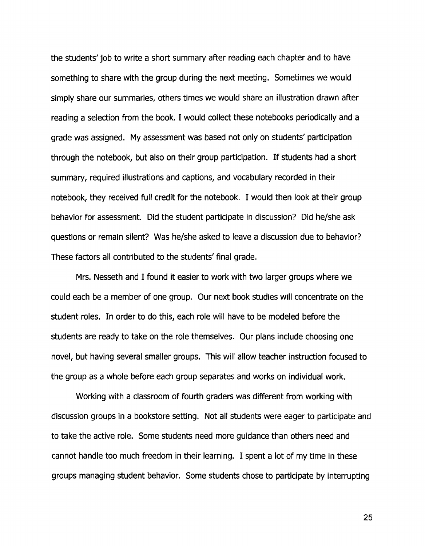the students' job to write a short summary after reading each chapter and to have something to share with the group during the next meeting. Sometimes we would simply share our summaries, others times we would share an illustration drawn after reading a selection from the book. I would collect these notebooks periodically and a grade was assigned. My assessment was based not only on students' participation through the notebook, but also on their group participation. If students had a short summary, required illustrations and captions, and vocabulary recorded in their notebook, they received full credit for the notebook. I would then look at their group behavior for assessment. Did the student participate in discussion? Did he/she ask questions or remain silent? Was he/she asked to leave a discussion due to behavior? These factors all contributed to the students' final grade.

Mrs. Nesseth and I found it easier to work with two larger groups where we could each be a member of one group. Our next book studies will concentrate on the student roles. In order to do this, each role will have to be modeled before the students are ready to take on the role themselves. Our plans include choosing one novel, but having several smaller groups. This will allow teacher instruction focused to the group as a whole before each group separates and works on individual work.

Working with a classroom of fourth graders was different from working with discussion groups in a bookstore setting. Not all students were eager to participate and to take the active role. Some students need more guidance than others need and cannot handle too much freedom in their learning. I spent a lot of my time in these groups managing student behavior. Some students chose to participate by interrupting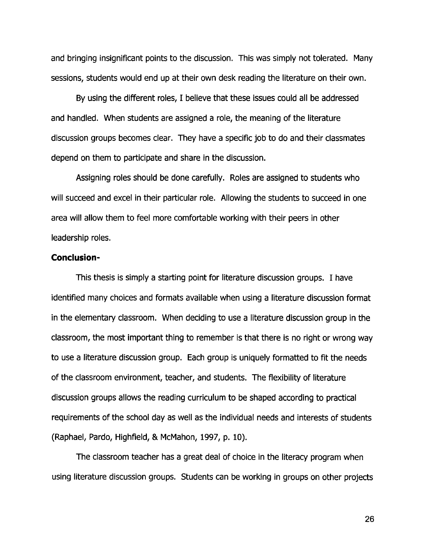and bringing insignificant points to the discussion. This was simply not tolerated. Many sessions, students would end up at their own desk reading the literature on their own.

By using the different roles, I believe that these issues could all be addressed and handled. When students are assigned a role, the meaning of the literature discussion groups becomes clear. They have a specific job to do and their classmates depend on them to participate and share in the discussion.

Assigning roles should be done carefully. Roles are assigned to students who will succeed and excel in their particular role. Allowing the students to succeed in one area will allow them to feel more comfortable working with their peers in other leadership roles.

## **Conclusion-**

This thesis is simply a starting point for literature discussion groups. I have identified many choices and formats available when using a literature discussion format in the elementary classroom. When deciding to use a literature discussion group in the classroom, the most important thing to remember is that there is no right or wrong way to use a literature discussion group. Each group is uniquely formatted to fit the needs of the classroom environment, teacher, and students. The flexibility of literature discussion groups allows the reading curriculum to be shaped according to practical requirements of the school day as well as the individual needs and interests of students (Raphael, Pardo, Highfield, & McMahon, 1997, p. 10).

The classroom teacher has a great deal of choice in the literacy program when using literature discussion groups. Students can be working in groups on other projects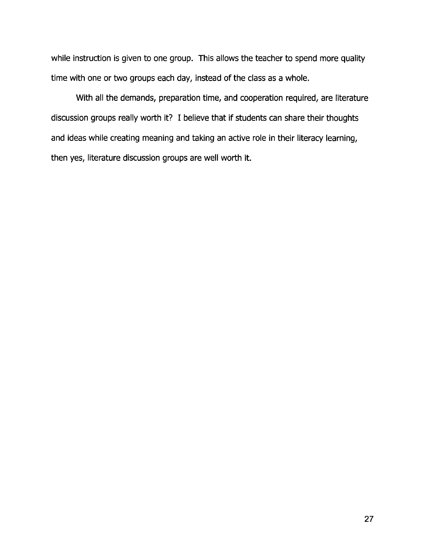while instruction is given to one group. This allows the teacher to spend more quality time with one or two groups each day, instead of the class as a whole.

With all the demands, preparation time, and cooperation required, are literature discussion groups really worth it? I believe that if students can share their thoughts and ideas while creating meaning and taking an active role in their literacy learning, then yes, literature discussion groups are well worth it.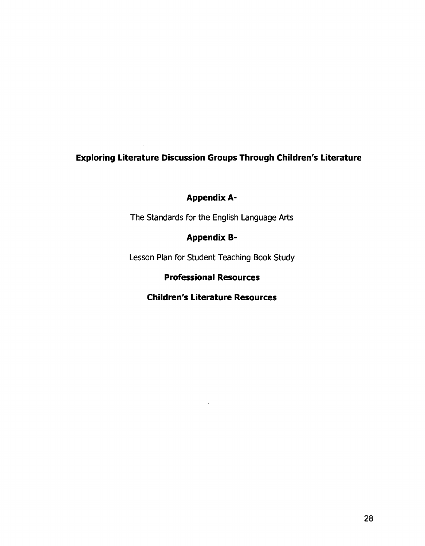# **Exploring Literature Discussion Groups Through Children's Literature**

# Appendix A-

The Standards for the English Language Arts

# **Appendix B-**

Lesson Plan for Student Teaching Book Study

# **Professional Resources**

# **Children's Literature Resources**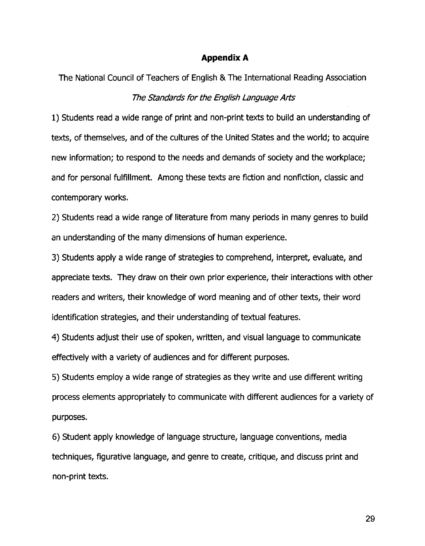## **Appendix A**

The National Council of Teachers of English & The International Reading Association The Standards for the Eng/ish Language Arts

1) Students read a wide range of print and non-print texts to build an understanding of texts, of themselves, and of the cultures of the United States and the world; to acquire new information; to respond to the needs and demands of society and the workplace; and for personal fulfillment. Among these texts are fiction and nonfiction, classic and contemporary works.

2) Students read a wide range of literature from many periods in many genres to build an understanding of the many dimensions of human experience.

3) Students apply a wide range of strategies to comprehend, interpret, evaluate, and appreciate texts. They draw on their own prior experience, their interactions with other readers and writers, their knowledge of word meaning and of other texts, their word identification strategies, and their understanding of textual features.

4) Students adjust their use of spoken, written, and visual language to communicate effectively with a variety of audiences and for different purposes.

5) Students employ a wide range of strategies as they write and use different writing process elements appropriately to communicate with different audiences for a variety of purposes.

6) Student apply knowledge of language structure, language conventions, media techniques, figurative language, and genre to create, critique, and discuss print and non-print texts.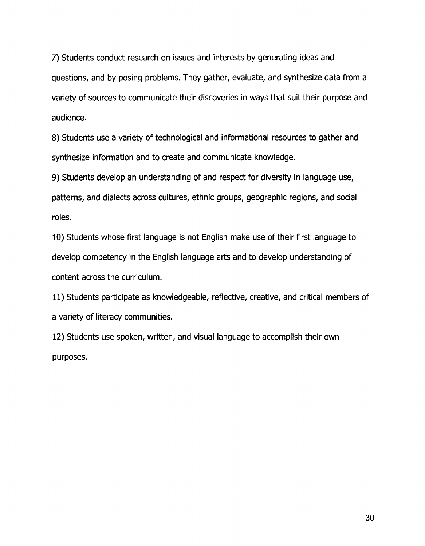7) Students conduct research on issues and interests by generating ideas and questions, and by posing problems. They gather, evaluate, and synthesize data from a variety of sources to communicate their discoveries in ways that suit their purpose and audience.

8) Students use a variety of technological and informational resources to gather and synthesize information and to create and communicate knowledge.

9) Students develop an understanding of and respect for diversity in language use, patterns, and dialects across cultures, ethnic groups, geographic regions, and social roles.

10) Students whose first language is not English make use of their first language to develop competency in the English language arts and to develop understanding of content across the curriculum.

11) Students participate as knowledgeable, reflective, creative, and critical members of a variety of literacy communities.

12) Students use spoken, written, and visual language to accomplish their own purposes.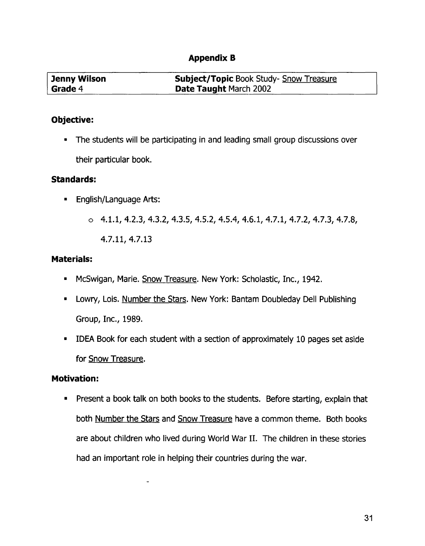# **Appendix B**

| Jenny Wilson | <b>Subject/Topic Book Study- Snow Treasure</b> |
|--------------|------------------------------------------------|
| Grade 4      | <b>Date Taught March 2002</b>                  |

## **Objective:**

• The students will be participating in and leading small group discussions over their particular book.

## **Standards:**

- English/Language Arts:
	- $\circ$  4.1.1, 4.2.3, 4.3.2, 4.3.5, 4.5.2, 4.5.4, 4.6.1, 4.7.1, 4.7.2, 4.7.3, 4.7.8,

4.7.11,4.7.13

## **Materials:**

- McSwigan, Marie. Snow Treasure. New York: Scholastic, Inc., 1942.
- Lowry, Lois. Number the Stars. New York: Bantam Doubleday Dell Publishing Group, Inc., 1989.
- IDEA Book for each student with a section of approximately 10 pages set aside for Snow Treasure.

## **Motivation:**

• Present a book talk on both books to the students. Before starting, explain that both Number the Stars and Snow Treasure have a common theme. Both books are about children who lived during World War II. The children in these stories had an important role in helping their countries during the war.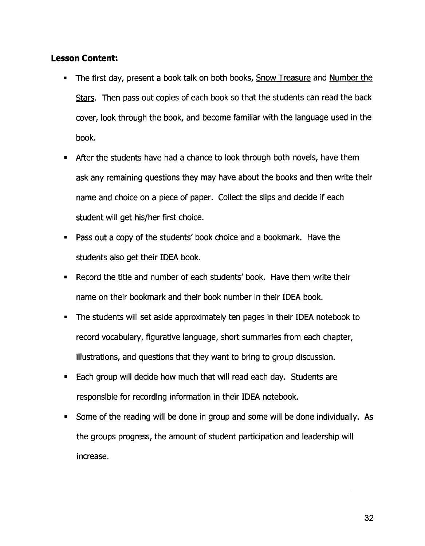## **Lesson Content:**

- The first day, present a book talk on both books, Snow Treasure and Number the Stars. Then pass out copies of each book so that the students can read the back cover, look through the book, and become familiar with the language used in the book.
- After the students have had a chance to look through both novels, have them ask any remaining questions they may have about the books and then write their name and choice on a piece of paper. Collect the slips and decide if each student will get his/her first choice.
- Pass out a copy of the students' book choice and a bookmark. Have the students also get their IDEA book.
- Record the title and number of each students' book. Have them write their name on their bookmark and their book number in their IDEA book.
- The students will set aside approximately ten pages in their IDEA notebook to record vocabulary, figurative language, short summaries from each chapter, illustrations, and questions that they want to bring to group discussion.
- Each group will decide how much that will read each day. Students are responsible for recording information in their IDEA notebook.
- Some of the reading will be done in group and some will be done individually. As the groups progress, the amount of student participation and leadership will increase.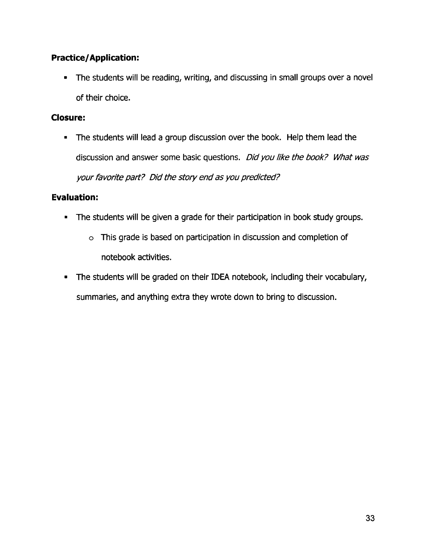# **Practice/Application:**

• The students will be reading, writing, and discussing in small groups over a novel of their choice.

## **Closure:**

• The students will lead a group discussion over the book. Help them lead the discussion and answer some basic questions. Did you like the book? What was your favorite part? Did the story end as you predicted?

# **Evaluation:**

- The students will be given a grade for their participation in book study groups.
	- o This grade is based on participation in discussion and completion of notebook activities.
- The students will be graded on their IDEA notebook, including their vocabulary, summaries, and anything extra they wrote down to bring to discussion.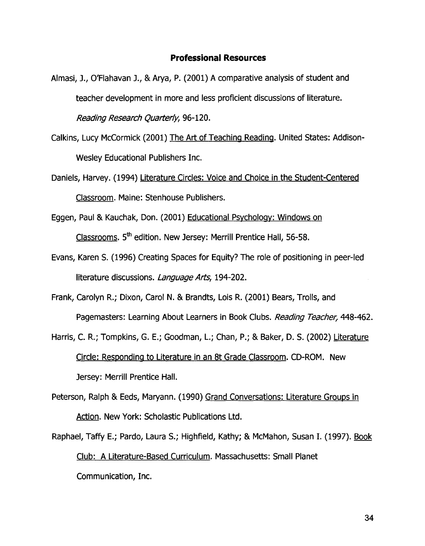#### **Professional Resources**

- Almasi, J., O'Flahavan J., & Arya, P. (2001) A comparative analysis of student and teacher development in more and less proficient discussions of literature. Reading Research Quarterly, 96-120.
- Calkins, Lucy McCormick (2001) The Art of Teaching Reading. United States: Addison-Wesley Educational Publishers Inc.
- Daniels, Harvey. (1994) Literature Circles: Voice and Choice in the Student-Centered Classroom. Maine: Stenhouse Publishers.
- Eggen, Paul & Kauchak, Don. (2001) Educational Psychology: Windows on Classrooms. 5<sup>th</sup> edition. New Jersey: Merrill Prentice Hall, 56-58.
- Evans, Karen S. (1996) Creating Spaces for Equity? The role of positioning in peer-led literature discussions. Language Arts, 194-202.
- Frank, Carolyn R.; Dixon, Carol N. & Brandts, Lois R. (2001) Bears, Trolls, and Pagemasters: Learning About Learners in Book Clubs. Reading Teacher, 448-462.
- Harris, C. R.; Tompkins, G. E.; Goodman, L.; Chan, P.; & Baker, D. S. (2002) Literature Circle: Responding to Literature in an 8t Grade Classroom. CD-ROM. New Jersey: Merrill Prentice Hall.
- Peterson, Ralph & Eeds, Maryann. (1990) Grand Conversations: Literature Groups in Action. New York: Scholastic Publications Ltd.
- Raphael, Taffy E.; Pardo, Laura S.; Highfield, Kathy; & McMahon, Susan I. (1997). Book Club: A Literature-Based Curriculum. Massachusetts: Small Planet Communication, Inc.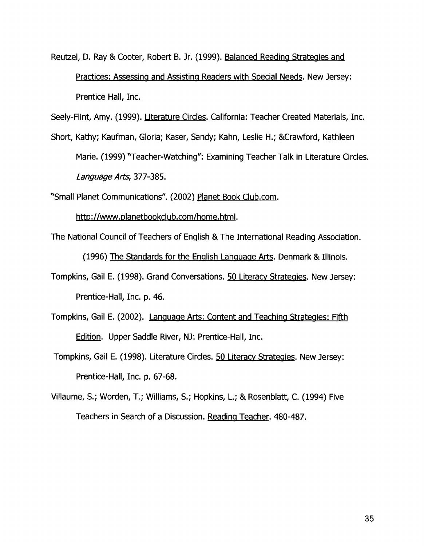Reutzel, D. Ray & Cooter, Robert B. Jr. (1999). Balanced Reading Strategies and Practices: Assessing and Assisting Readers with Special Needs. New Jersey: Prentice Hall, Inc.

Seely-Flint, Amy. (1999). Literature Circles. California: Teacher Created Materials, Inc.

Short, Kathy; Kaufman, Gloria; Kaser, Sandy; Kahn, Leslie H.; &Crawford, Kathleen Marie. (1999) "Teacher-Watching": Examining Teacher Talk in Literature Circles. Language Arts, 377-385.

"Small Planet Communications". (2002) Planet Book Club.com.

http://www.planetbookclub.com/home.html.

The National Council of Teachers of English & The International Reading Association.

(1996) The Standards for the English Language Arts. Denmark & Illinois.

- Tompkins, Gail E. (1998). Grand Conversations. 50 Literacy Strategies. New Jersey: Prentice-Hall, Inc. p. 46.
- Tompkins, Gail E. (2002). Language Arts: Content and Teaching Strategies: Fifth Edition. Upper Saddle River, NJ: Prentice-Hall, Inc.
- Tompkins, Gail E. (1998). Literature Circles. 50 Literacy Strategies. New Jersey: Prentice-Hall, Inc. p. 67-68.
- Villaume, S.; Worden, T.; Williams, S.; Hopkins, L.; & Rosenblatt, C. (1994) Five Teachers in Search of a Discussion. Reading Teacher. 480-487.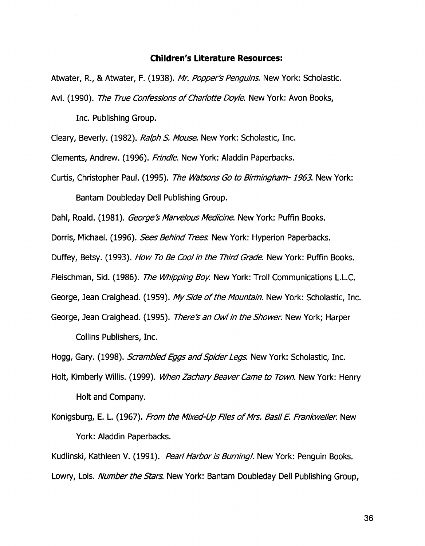#### **Children's Literature Resources:**

Atwater, R., & Atwater, F. (1938). Mr. Popper's Penguins. New York: Scholastic. Avi. (1990). The True Confessions of Charlotte Doyle. New York: Avon Books,

Inc. Publishing Group.

Cleary, Beverly. (1982). Ralph *S.* Mouse. New York: Scholastic, Inc.

Clements, Andrew. (1996). Frindle. New York: Aladdin Paperbacks.

Curtis, Christopher Paul. (1995). The Watsons Go to Birmingham-1963. New York: Bantam Doubleday Dell Publishing Group.

Dahl, Roald. (1981). George's Marvelous Medicine. New York: Puffin Books.

Dorris, Michael. (1996). Sees Behind Trees. New York: Hyperion Paperbacks.

Duffey, Betsy. (1993). How To Be Cool in the Third Grade. New York: Puffin Books.

Fleischman, Sid. (1986). The Whipping Boy. New York: Troll Communications L.L.C.

George, Jean Craighead. (1959). My Side of the Mountain. New York: Scholastic, Inc.

George, Jean Craighead. (1995). There's an Owl in the Shower. New York; Harper Collins Publishers, Inc.

Hogg, Gary. (1998). *Scrambled Eggs and Spider Legs*. New York: Scholastic, Inc.

Holt, Kimberly Willis. (1999). When Zachary Beaver Came to Town. New York: Henry Holt and Company.

Konigsburg, E. L. (1967). From the Mixed-Up Files of Mrs. Basil E. Frankweiler. New York: Aladdin Paperbacks.

Kudlinski, Kathleen V. (1991). Pearl Harbor is Burning!. New York: Penguin Books. Lowry, Lois. Number the Stars. New York: Bantam Doubleday Dell Publishing Group,